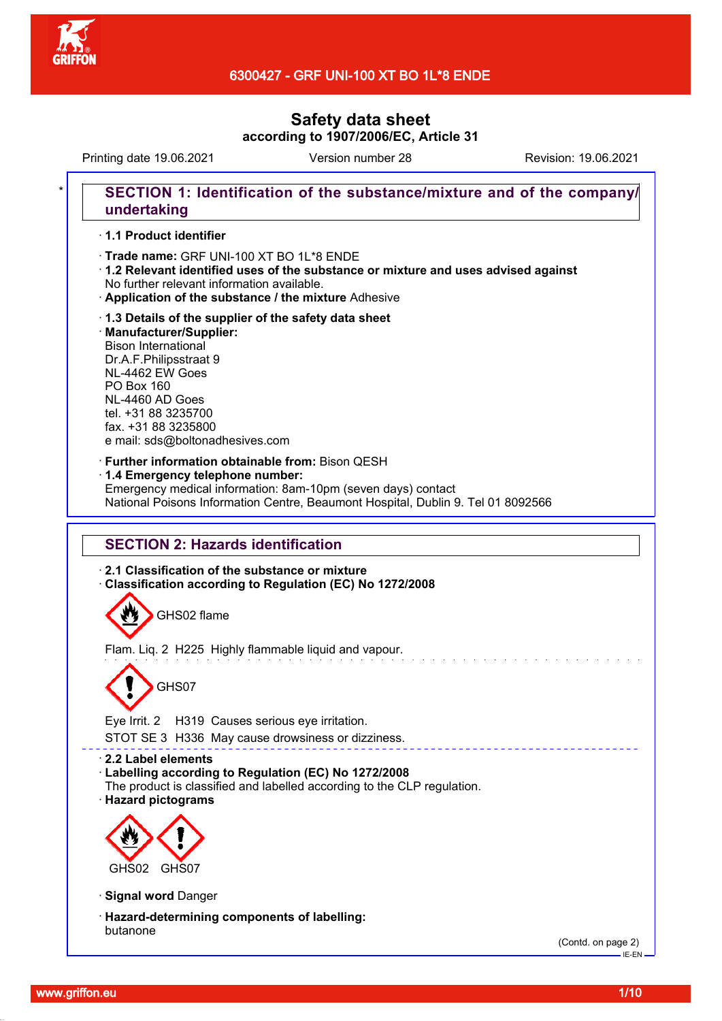

# 6300427 - GRF UNI-100 XT BO 1L\*8 ENDE

# **Safety data sheet according to 1907/2006/EC, Article 31**

Printing date 19.06.2021 Version number 28 Revision: 19.06.2021

# SECTION 1: Identification of the substance/mixture and of the company/ **undertaking**

## · **1.1 Product identifier**

· **Trade name:** GRF UNI-100 XT BO 1L\*8 ENDE

- · **1.2 Relevant identified uses of the substance or mixture and uses advised against** No further relevant information available.
- · **Application of the substance / the mixture** Adhesive

## · **1.3 Details of the supplier of the safety data sheet** · **Manufacturer/Supplier:** Bison International Dr.A.F.Philipsstraat 9 NL-4462 EW Goes PO Box 160 NL-4460 AD Goes tel. +31 88 3235700 fax. +31 88 3235800 e mail: sds@boltonadhesives.com

### · **Further information obtainable from:** Bison QESH

· **1.4 Emergency telephone number:**

Emergency medical information: 8am-10pm (seven days) contact National Poisons Information Centre, Beaumont Hospital, Dublin 9. Tel 01 8092566

## **SECTION 2: Hazards identification**

· **2.1 Classification of the substance or mixture**

· **Classification according to Regulation (EC) No 1272/2008**

GHS02 flame

Flam. Liq. 2 H225 Highly flammable liquid and vapour.



Eye Irrit. 2 H319 Causes serious eye irritation. STOT SE 3 H336 May cause drowsiness or dizziness.

### · **2.2 Label elements**

- · **Labelling according to Regulation (EC) No 1272/2008**
- The product is classified and labelled according to the CLP regulation.

· **Hazard pictograms**



· **Signal word** Danger

· **Hazard-determining components of labelling:** butanone

(Contd. on page 2)

 $-$ IE-EN-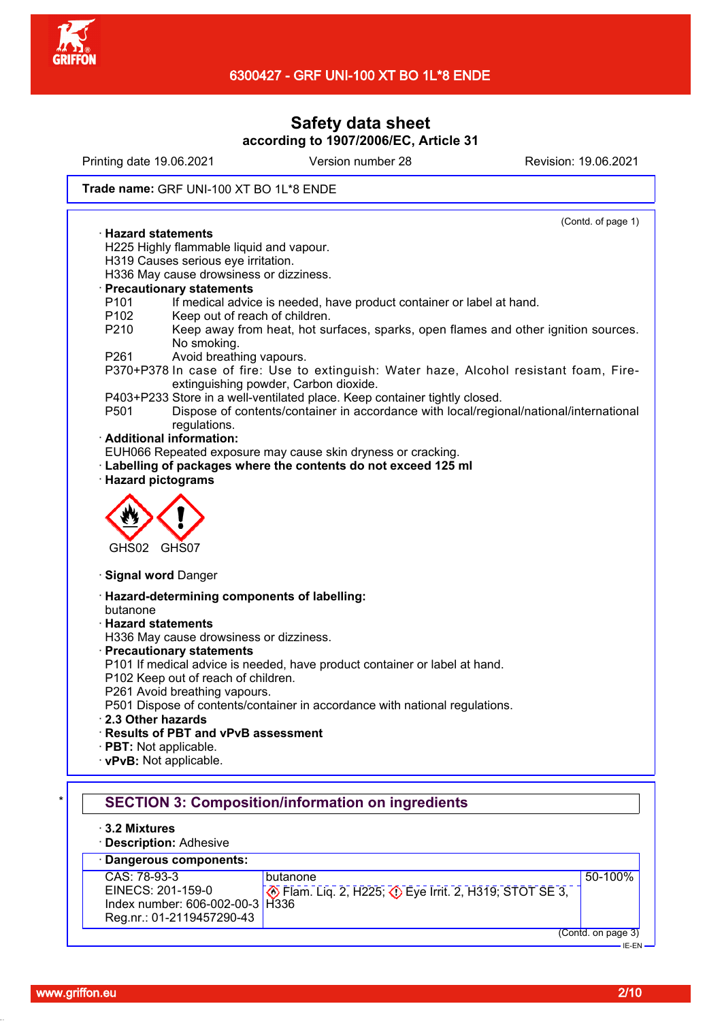

Printing date 19.06.2021 Version number 28 Revision: 19.06.2021

## **Trade name:** GRF UNI-100 XT BO 1L\*8 ENDE

| (Contd. of page 1)                                                                                                                                                                                       |  |
|----------------------------------------------------------------------------------------------------------------------------------------------------------------------------------------------------------|--|
| $\cdot$ Hazard statements                                                                                                                                                                                |  |
| H225 Highly flammable liquid and vapour.                                                                                                                                                                 |  |
| H319 Causes serious eye irritation.                                                                                                                                                                      |  |
| H336 May cause drowsiness or dizziness.<br><b>Precautionary statements</b>                                                                                                                               |  |
| P <sub>101</sub><br>If medical advice is needed, have product container or label at hand.                                                                                                                |  |
| P102<br>Keep out of reach of children.                                                                                                                                                                   |  |
| P210<br>Keep away from heat, hot surfaces, sparks, open flames and other ignition sources.<br>No smoking.                                                                                                |  |
| P261<br>Avoid breathing vapours.<br>P370+P378 In case of fire: Use to extinguish: Water haze, Alcohol resistant foam, Fire-<br>extinguishing powder, Carbon dioxide.                                     |  |
| P403+P233 Store in a well-ventilated place. Keep container tightly closed.<br>Dispose of contents/container in accordance with local/regional/national/international<br>P <sub>501</sub><br>regulations. |  |
| · Additional information:                                                                                                                                                                                |  |
| EUH066 Repeated exposure may cause skin dryness or cracking.<br>· Labelling of packages where the contents do not exceed 125 ml<br>· Hazard pictograms                                                   |  |
| GHS02 GHS07                                                                                                                                                                                              |  |
| · Signal word Danger                                                                                                                                                                                     |  |
| · Hazard-determining components of labelling:                                                                                                                                                            |  |
| butanone                                                                                                                                                                                                 |  |
| <b>Hazard statements</b>                                                                                                                                                                                 |  |
| H336 May cause drowsiness or dizziness.                                                                                                                                                                  |  |
| · Precautionary statements<br>P101 If medical advice is needed, have product container or label at hand.                                                                                                 |  |
| P102 Keep out of reach of children.                                                                                                                                                                      |  |
| P261 Avoid breathing vapours.                                                                                                                                                                            |  |
| P501 Dispose of contents/container in accordance with national regulations.                                                                                                                              |  |
| 2.3 Other hazards                                                                                                                                                                                        |  |
| · Results of PBT and vPvB assessment                                                                                                                                                                     |  |
| · PBT: Not applicable.                                                                                                                                                                                   |  |
| · vPvB: Not applicable.                                                                                                                                                                                  |  |
|                                                                                                                                                                                                          |  |
| <b>SECTION 3: Composition/information on ingredients</b>                                                                                                                                                 |  |
| 3.2 Mixtures<br><b>Description: Adhesive</b>                                                                                                                                                             |  |
| <b>Dangerous components:</b>                                                                                                                                                                             |  |
| CAS: 78-93-3<br>50-100%<br>butanone                                                                                                                                                                      |  |
| EINECS: 201-159-0<br>$\diamondsuit$ Flam. Lig. 2, H225; $\diamondsuit$ Eye Irrit. 2, H319; STOT SE 3,<br>Index number: 606-002-00-3   H336                                                               |  |

Reg.nr.: 01-2119457290-43

<sup>(</sup>Contd. on page 3)

IE-EN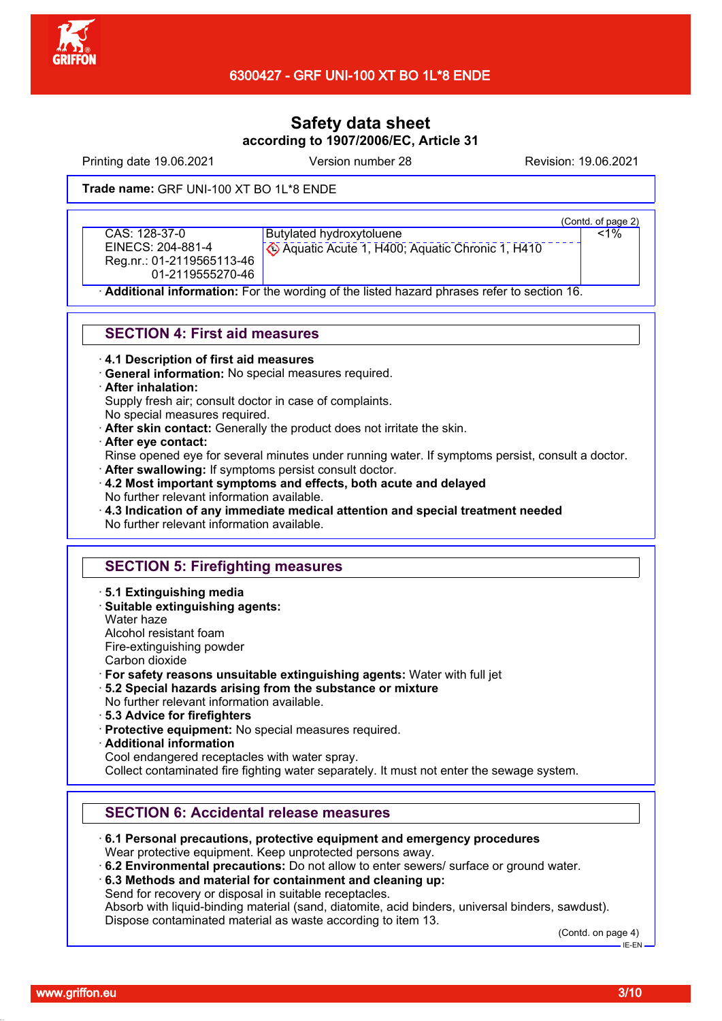

Printing date 19.06.2021 Version number 28 Revision: 19.06.2021

### **Trade name:** GRF UNI-100 XT BO 1L\*8 ENDE

CAS: 128-37-0 EINECS: 204-881-4 Reg.nr.: 01-2119565113-46 01-2119555270-46

Butylated hydroxytoluene Aquatic Acute 1, H400; Aquatic Chronic 1, H410

(Contd. of page 2)

 $< 1\%$ 

· **Additional information:** For the wording of the listed hazard phrases refer to section 16.

## **SECTION 4: First aid measures**

· **4.1 Description of first aid measures**

· **General information:** No special measures required.

#### · **After inhalation:**

Supply fresh air; consult doctor in case of complaints.

No special measures required.

· **After skin contact:** Generally the product does not irritate the skin.

· **After eye contact:**

Rinse opened eye for several minutes under running water. If symptoms persist, consult a doctor. · **After swallowing:** If symptoms persist consult doctor.

· **4.2 Most important symptoms and effects, both acute and delayed** No further relevant information available.

· **4.3 Indication of any immediate medical attention and special treatment needed** No further relevant information available.

# **SECTION 5: Firefighting measures**

- · **5.1 Extinguishing media**
- · **Suitable extinguishing agents:**

Water haze Alcohol resistant foam

Fire-extinguishing powder

- Carbon dioxide
- · **For safety reasons unsuitable extinguishing agents:** Water with full jet
- · **5.2 Special hazards arising from the substance or mixture**
- No further relevant information available.
- · **5.3 Advice for firefighters**
- · **Protective equipment:** No special measures required.
- · **Additional information**
- Cool endangered receptacles with water spray.

Collect contaminated fire fighting water separately. It must not enter the sewage system.

# **SECTION 6: Accidental release measures**

· **6.1 Personal precautions, protective equipment and emergency procedures**

Wear protective equipment. Keep unprotected persons away.

· **6.2 Environmental precautions:** Do not allow to enter sewers/ surface or ground water.

· **6.3 Methods and material for containment and cleaning up:**

Send for recovery or disposal in suitable receptacles.

Absorb with liquid-binding material (sand, diatomite, acid binders, universal binders, sawdust). Dispose contaminated material as waste according to item 13.

(Contd. on page 4)

IE-EN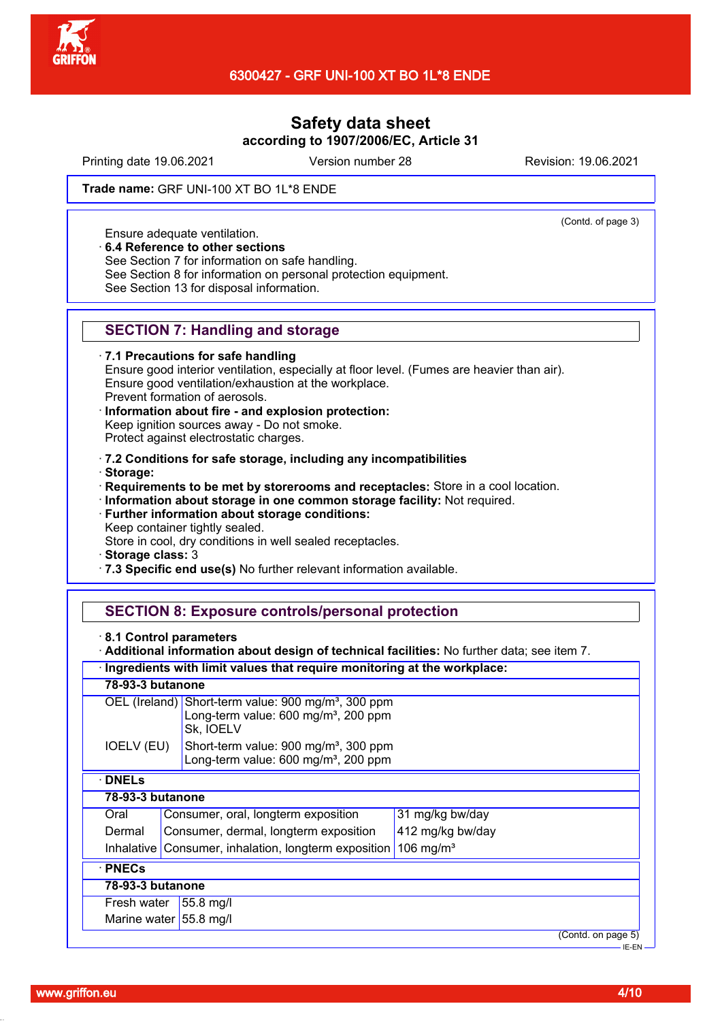

Printing date 19.06.2021 Version number 28 Revision: 19.06.2021

(Contd. of page 3)

### **Trade name:** GRF UNI-100 XT BO 1L\*8 ENDE

Ensure adequate ventilation.

· **6.4 Reference to other sections**

See Section 7 for information on safe handling.

See Section 8 for information on personal protection equipment.

See Section 13 for disposal information.

## **SECTION 7: Handling and storage**

· **7.1 Precautions for safe handling**

Ensure good interior ventilation, especially at floor level. (Fumes are heavier than air). Ensure good ventilation/exhaustion at the workplace. Prevent formation of aerosols.

· **Information about fire - and explosion protection:** Keep ignition sources away - Do not smoke. Protect against electrostatic charges.

· **7.2 Conditions for safe storage, including any incompatibilities**

· **Storage:**

· **Requirements to be met by storerooms and receptacles:** Store in a cool location.

- · **Information about storage in one common storage facility:** Not required.
- · **Further information about storage conditions:** Keep container tightly sealed.

Store in cool, dry conditions in well sealed receptacles.

- · **Storage class:** 3
- · **7.3 Specific end use(s)** No further relevant information available.

# **SECTION 8: Exposure controls/personal protection**

· **8.1 Control parameters**

· **Additional information about design of technical facilities:** No further data; see item 7.

· **Ingredients with limit values that require monitoring at the workplace:**

| 78-93-3 butanone                            |                                                                    |                                                                                                                                  |                  |                    |
|---------------------------------------------|--------------------------------------------------------------------|----------------------------------------------------------------------------------------------------------------------------------|------------------|--------------------|
|                                             |                                                                    | OEL (Ireland) Short-term value: 900 mg/m <sup>3</sup> , 300 ppm<br>Long-term value: 600 mg/m <sup>3</sup> , 200 ppm<br>Sk, IOELV |                  |                    |
| IOELV (EU)                                  |                                                                    | Short-term value: 900 mg/m <sup>3</sup> , 300 ppm<br>Long-term value: 600 mg/m <sup>3</sup> , 200 ppm                            |                  |                    |
| <b>DNELs</b>                                |                                                                    |                                                                                                                                  |                  |                    |
|                                             | 78-93-3 butanone                                                   |                                                                                                                                  |                  |                    |
| Consumer, oral, longterm exposition<br>Oral |                                                                    | 31 mg/kg bw/day                                                                                                                  |                  |                    |
| Dermal                                      |                                                                    | Consumer, dermal, longterm exposition                                                                                            | 412 mg/kg bw/day |                    |
| Inhalative l                                | 106 mg/m <sup>3</sup><br>Consumer, inhalation, longterm exposition |                                                                                                                                  |                  |                    |
| $\cdot$ PNECs                               |                                                                    |                                                                                                                                  |                  |                    |
| 78-93-3 butanone                            |                                                                    |                                                                                                                                  |                  |                    |
| Fresh water<br>$55.8$ mg/l                  |                                                                    |                                                                                                                                  |                  |                    |
| Marine water 55.8 mg/l                      |                                                                    |                                                                                                                                  |                  |                    |
|                                             |                                                                    |                                                                                                                                  |                  | (Contd. on page 5) |
|                                             |                                                                    |                                                                                                                                  |                  | IE-EN              |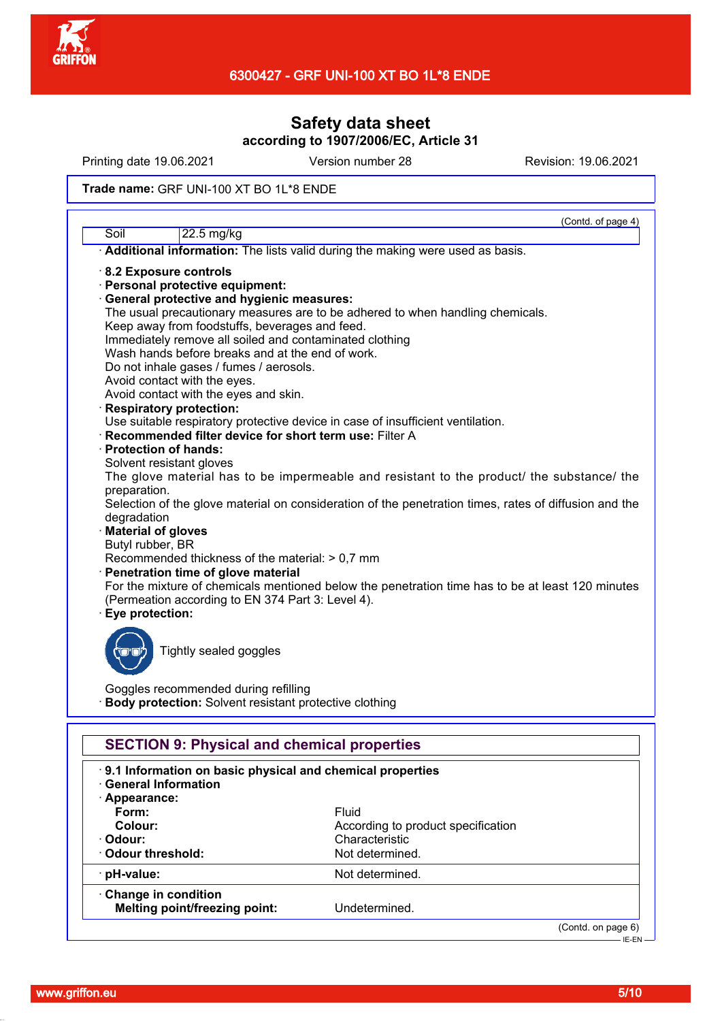

Printing date 19.06.2021 Version number 28 Revision: 19.06.2021

### **Trade name:** GRF UNI-100 XT BO 1L\*8 ENDE

|                                                                                                       |                                                                                                  | (Contd. of page 4) |
|-------------------------------------------------------------------------------------------------------|--------------------------------------------------------------------------------------------------|--------------------|
| Soil                                                                                                  | 22.5 mg/kg                                                                                       |                    |
|                                                                                                       | Additional information: The lists valid during the making were used as basis.                    |                    |
|                                                                                                       | 8.2 Exposure controls                                                                            |                    |
|                                                                                                       | · Personal protective equipment:                                                                 |                    |
|                                                                                                       | General protective and hygienic measures:                                                        |                    |
|                                                                                                       | The usual precautionary measures are to be adhered to when handling chemicals.                   |                    |
|                                                                                                       | Keep away from foodstuffs, beverages and feed.                                                   |                    |
|                                                                                                       | Immediately remove all soiled and contaminated clothing                                          |                    |
|                                                                                                       | Wash hands before breaks and at the end of work.                                                 |                    |
|                                                                                                       | Do not inhale gases / fumes / aerosols.                                                          |                    |
|                                                                                                       | Avoid contact with the eyes.                                                                     |                    |
|                                                                                                       | Avoid contact with the eyes and skin.                                                            |                    |
|                                                                                                       | <b>Respiratory protection:</b>                                                                   |                    |
|                                                                                                       | Use suitable respiratory protective device in case of insufficient ventilation.                  |                    |
|                                                                                                       | · Recommended filter device for short term use: Filter A                                         |                    |
|                                                                                                       | · Protection of hands:                                                                           |                    |
|                                                                                                       | Solvent resistant gloves                                                                         |                    |
|                                                                                                       | The glove material has to be impermeable and resistant to the product/ the substance/ the        |                    |
| preparation.                                                                                          |                                                                                                  |                    |
| Selection of the glove material on consideration of the penetration times, rates of diffusion and the |                                                                                                  |                    |
| degradation                                                                                           |                                                                                                  |                    |
| <b>Material of gloves</b>                                                                             |                                                                                                  |                    |
|                                                                                                       | Butyl rubber, BR                                                                                 |                    |
|                                                                                                       | Recommended thickness of the material: > 0,7 mm                                                  |                    |
|                                                                                                       | Penetration time of glove material                                                               |                    |
|                                                                                                       | For the mixture of chemicals mentioned below the penetration time has to be at least 120 minutes |                    |
|                                                                                                       | (Permeation according to EN 374 Part 3: Level 4).                                                |                    |
|                                                                                                       | · Eye protection:                                                                                |                    |
|                                                                                                       |                                                                                                  |                    |
|                                                                                                       | Tightly sealed goggles                                                                           |                    |
|                                                                                                       |                                                                                                  |                    |
|                                                                                                       |                                                                                                  |                    |
| Goggles recommended during refilling                                                                  |                                                                                                  |                    |
|                                                                                                       | Body protection: Solvent resistant protective clothing                                           |                    |
|                                                                                                       |                                                                                                  |                    |
|                                                                                                       | <b>SECTION 9: Physical and chemical properties</b>                                               |                    |
|                                                                                                       | .9.1 Information on basic physical and chemical properties                                       |                    |
|                                                                                                       | <b>General Information</b>                                                                       |                    |
| · Appearance:                                                                                         |                                                                                                  |                    |
| Form:                                                                                                 | Fluid                                                                                            |                    |
| <b>Colour:</b>                                                                                        | According to product specification                                                               |                    |
| · Odour:                                                                                              | Characteristic                                                                                   |                    |
|                                                                                                       | Odour threshold:<br>Not determined.                                                              |                    |
|                                                                                                       |                                                                                                  |                    |
| · pH-value:                                                                                           | Not determined.                                                                                  |                    |
|                                                                                                       |                                                                                                  |                    |

· **Change in condition Melting point/freezing point:** Undetermined.

(Contd. on page 6)

<sup>-&</sup>lt;br>HE-EN-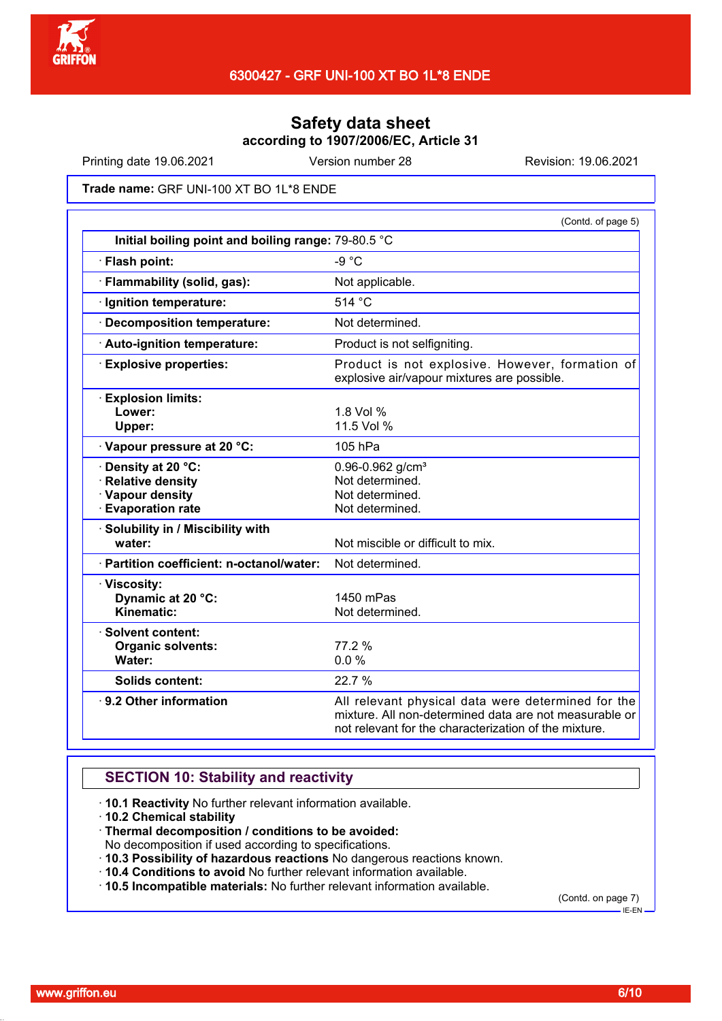

Printing date 19.06.2021 Version number 28 Revision: 19.06.2021

**Trade name:** GRF UNI-100 XT BO 1L\*8 ENDE

|                                                                                          | (Contd. of page 5)                                                                                                                                                    |
|------------------------------------------------------------------------------------------|-----------------------------------------------------------------------------------------------------------------------------------------------------------------------|
| Initial boiling point and boiling range: 79-80.5 °C                                      |                                                                                                                                                                       |
| · Flash point:                                                                           | $-9 °C$                                                                                                                                                               |
| · Flammability (solid, gas):                                                             | Not applicable.                                                                                                                                                       |
| · Ignition temperature:                                                                  | 514 °C                                                                                                                                                                |
| · Decomposition temperature:                                                             | Not determined.                                                                                                                                                       |
| · Auto-ignition temperature:                                                             | Product is not selfigniting.                                                                                                                                          |
| <b>Explosive properties:</b>                                                             | Product is not explosive. However, formation of<br>explosive air/vapour mixtures are possible.                                                                        |
| <b>Explosion limits:</b><br>Lower:<br>Upper:                                             | 1.8 Vol %<br>11.5 Vol %                                                                                                                                               |
| Vapour pressure at 20 °C:                                                                | 105 hPa                                                                                                                                                               |
| · Density at 20 °C:<br>· Relative density<br>· Vapour density<br><b>Evaporation rate</b> | 0.96-0.962 g/cm <sup>3</sup><br>Not determined.<br>Not determined.<br>Not determined.                                                                                 |
| · Solubility in / Miscibility with<br>water:                                             | Not miscible or difficult to mix.                                                                                                                                     |
| · Partition coefficient: n-octanol/water:                                                | Not determined.                                                                                                                                                       |
| · Viscosity:<br>Dynamic at 20 °C:<br>Kinematic:                                          | 1450 mPas<br>Not determined.                                                                                                                                          |
| · Solvent content:<br><b>Organic solvents:</b><br>Water:                                 | 77.2 %<br>0.0%                                                                                                                                                        |
| <b>Solids content:</b>                                                                   | 22.7 %                                                                                                                                                                |
| ⋅ 9.2 Other information                                                                  | All relevant physical data were determined for the<br>mixture. All non-determined data are not measurable or<br>not relevant for the characterization of the mixture. |

# **SECTION 10: Stability and reactivity**

- · **10.1 Reactivity** No further relevant information available.
- · **10.2 Chemical stability**
- · **Thermal decomposition / conditions to be avoided:**
- No decomposition if used according to specifications.
- · **10.3 Possibility of hazardous reactions** No dangerous reactions known.
- · **10.4 Conditions to avoid** No further relevant information available.
- · **10.5 Incompatible materials:** No further relevant information available.

(Contd. on page 7)

 $-$ IE-EN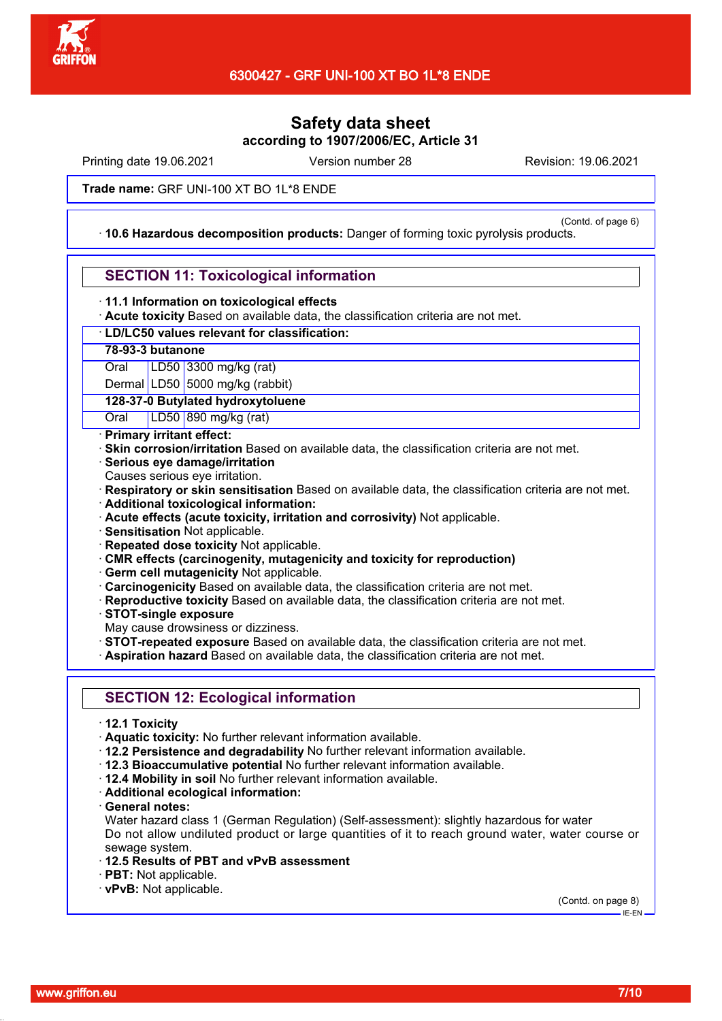

Printing date 19.06.2021 Version number 28 Revision: 19.06.2021

**Trade name:** GRF UNI-100 XT BO 1L\*8 ENDE

(Contd. of page 6)

· **10.6 Hazardous decomposition products:** Danger of forming toxic pyrolysis products.

## **SECTION 11: Toxicological information**

### · **11.1 Information on toxicological effects**

· **Acute toxicity** Based on available data, the classification criteria are not met.

### · **LD/LC50 values relevant for classification:**

## **78-93-3 butanone**

Oral LD50 3300 mg/kg (rat)

Dermal LD50 5000 mg/kg (rabbit)

## **128-37-0 Butylated hydroxytoluene**

Oral LD50 890 mg/kg (rat)

### · **Primary irritant effect:**

- **Skin corrosion/irritation** Based on available data, the classification criteria are not met.
- · **Serious eye damage/irritation**
- Causes serious eye irritation.
- · **Respiratory or skin sensitisation** Based on available data, the classification criteria are not met.
- · **Additional toxicological information:**
- · **Acute effects (acute toxicity, irritation and corrosivity)** Not applicable.
- · **Sensitisation** Not applicable.
- · **Repeated dose toxicity** Not applicable.
- · **CMR effects (carcinogenity, mutagenicity and toxicity for reproduction)**
- · **Germ cell mutagenicity** Not applicable.
- · **Carcinogenicity** Based on available data, the classification criteria are not met.
- · **Reproductive toxicity** Based on available data, the classification criteria are not met.
- · **STOT-single exposure**
- May cause drowsiness or dizziness.
- · **STOT-repeated exposure** Based on available data, the classification criteria are not met.
- · **Aspiration hazard** Based on available data, the classification criteria are not met.

# **SECTION 12: Ecological information**

- · **12.1 Toxicity**
- · **Aquatic toxicity:** No further relevant information available.
- · **12.2 Persistence and degradability** No further relevant information available.
- · **12.3 Bioaccumulative potential** No further relevant information available.
- · **12.4 Mobility in soil** No further relevant information available.
- · **Additional ecological information:**
- · **General notes:**

Water hazard class 1 (German Regulation) (Self-assessment): slightly hazardous for water Do not allow undiluted product or large quantities of it to reach ground water, water course or sewage system.

- · **12.5 Results of PBT and vPvB assessment**
- · **PBT:** Not applicable.
- · **vPvB:** Not applicable.

(Contd. on page 8)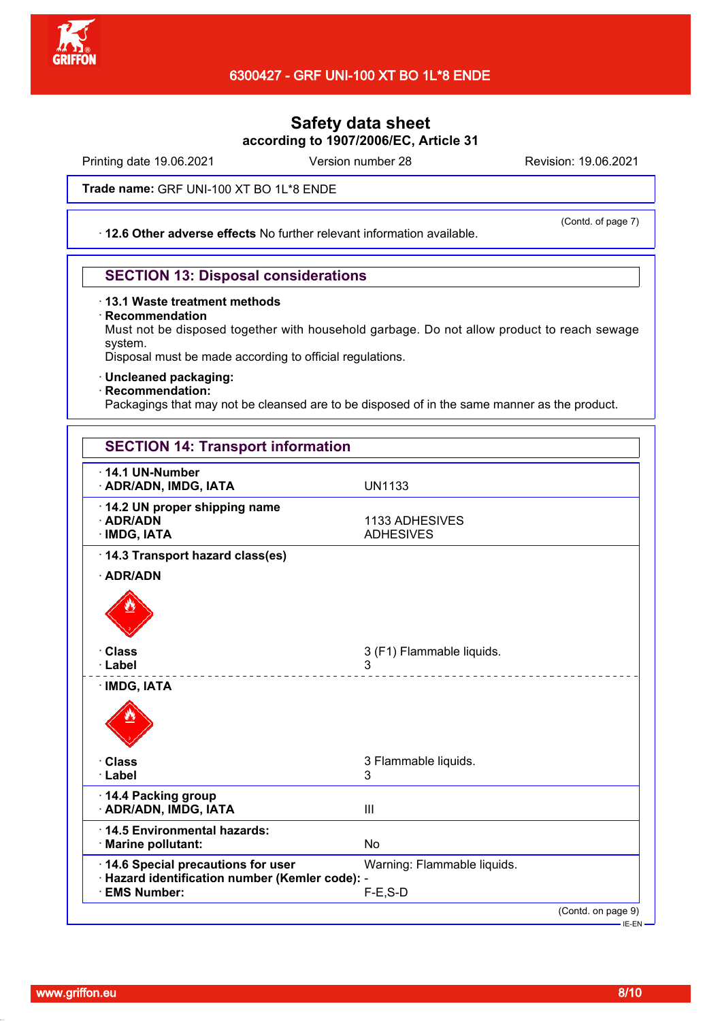

# 6300427 - GRF UNI-100 XT BO 1L\*8 ENDE

# **Safety data sheet according to 1907/2006/EC, Article 31**

Printing date 19.06.2021 Version number 28 Revision: 19.06.2021

(Contd. of page 7)

**Trade name:** GRF UNI-100 XT BO 1L\*8 ENDE

· **12.6 Other adverse effects** No further relevant information available.

## **SECTION 13: Disposal considerations**

### · **13.1 Waste treatment methods**

· **Recommendation**

Must not be disposed together with household garbage. Do not allow product to reach sewage system.

Disposal must be made according to official regulations.

- · **Uncleaned packaging:**
- · **Recommendation:**

Packagings that may not be cleansed are to be disposed of in the same manner as the product.

| $\cdot$ 14.1 UN-Number                                                                                     |                                              |  |
|------------------------------------------------------------------------------------------------------------|----------------------------------------------|--|
| · ADR/ADN, IMDG, IATA                                                                                      | <b>UN1133</b>                                |  |
| 14.2 UN proper shipping name<br>· ADR/ADN<br>· IMDG, IATA                                                  | 1133 ADHESIVES<br><b>ADHESIVES</b>           |  |
| 14.3 Transport hazard class(es)<br>· ADR/ADN                                                               |                                              |  |
| <b>Class</b><br>· Label                                                                                    | 3 (F1) Flammable liquids.<br>3<br><u>.</u>   |  |
| · IMDG, IATA                                                                                               |                                              |  |
| · Class<br>· Label                                                                                         | 3 Flammable liquids.<br>3                    |  |
| 14.4 Packing group<br>· ADR/ADN, IMDG, IATA                                                                | III                                          |  |
| 14.5 Environmental hazards:<br>· Marine pollutant:                                                         | <b>No</b>                                    |  |
| 14.6 Special precautions for user<br>· Hazard identification number (Kemler code): -<br><b>EMS Number:</b> | Warning: Flammable liquids.<br>$F-E$ , $S-D$ |  |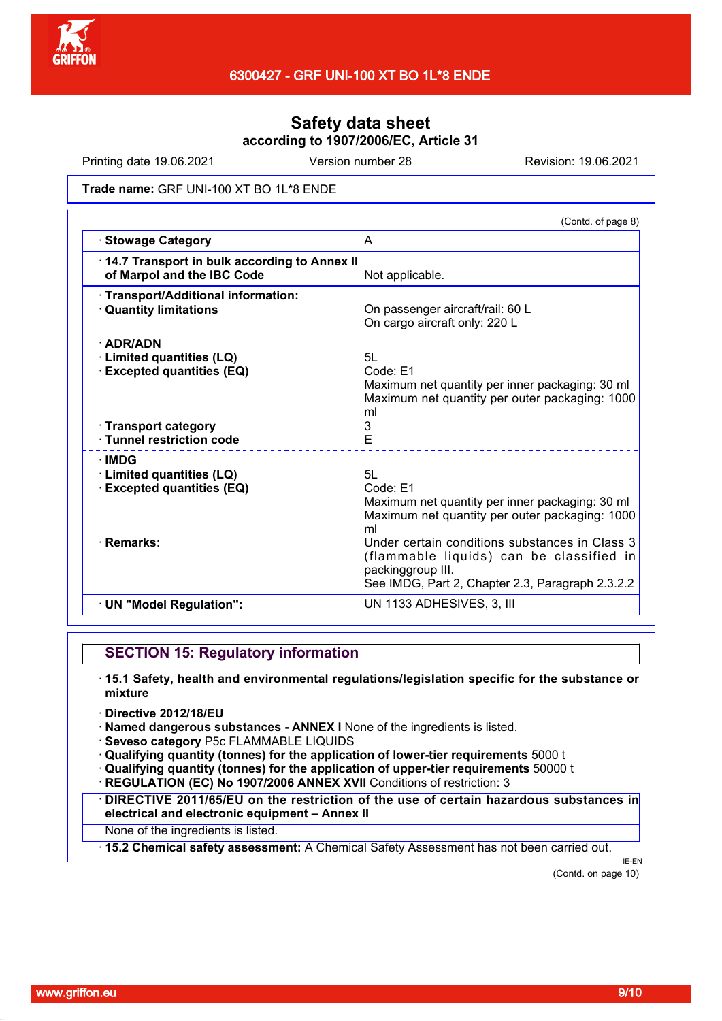

Printing date 19.06.2021 Version number 28 Revision: 19.06.2021

### **Trade name:** GRF UNI-100 XT BO 1L\*8 ENDE

| A<br>of Marpol and the IBC Code<br>Not applicable.<br>On passenger aircraft/rail: 60 L<br>On cargo aircraft only: 220 L<br>5L<br>Code: E1<br>ml<br>3<br>E<br>· Tunnel restriction code<br>5L<br>Code: E1<br>ml<br>packinggroup III.<br>UN 1133 ADHESIVES, 3, III |                                                                                                              | (Contd. of page 8)                                                                                                                                                                                                                                  |
|------------------------------------------------------------------------------------------------------------------------------------------------------------------------------------------------------------------------------------------------------------------|--------------------------------------------------------------------------------------------------------------|-----------------------------------------------------------------------------------------------------------------------------------------------------------------------------------------------------------------------------------------------------|
|                                                                                                                                                                                                                                                                  | · Stowage Category                                                                                           |                                                                                                                                                                                                                                                     |
|                                                                                                                                                                                                                                                                  | 14.7 Transport in bulk according to Annex II                                                                 |                                                                                                                                                                                                                                                     |
|                                                                                                                                                                                                                                                                  | · Transport/Additional information:<br><b>Quantity limitations</b>                                           |                                                                                                                                                                                                                                                     |
|                                                                                                                                                                                                                                                                  | $\cdot$ ADR/ADN<br><b>Limited quantities (LQ)</b><br><b>Excepted quantities (EQ)</b><br>· Transport category | Maximum net quantity per inner packaging: 30 ml<br>Maximum net quantity per outer packaging: 1000                                                                                                                                                   |
|                                                                                                                                                                                                                                                                  | <b>∴IMDG</b><br><b>Limited quantities (LQ)</b><br><b>Excepted quantities (EQ)</b><br>· Remarks:              | Maximum net quantity per inner packaging: 30 ml<br>Maximum net quantity per outer packaging: 1000<br>Under certain conditions substances in Class 3<br>(flammable liquids) can be classified in<br>See IMDG, Part 2, Chapter 2.3, Paragraph 2.3.2.2 |
|                                                                                                                                                                                                                                                                  | · UN "Model Regulation":                                                                                     |                                                                                                                                                                                                                                                     |

## **SECTION 15: Regulatory information**

- · **15.1 Safety, health and environmental regulations/legislation specific for the substance or mixture**
- · **Directive 2012/18/EU**
- · **Named dangerous substances ANNEX I** None of the ingredients is listed.
- · **Seveso category** P5c FLAMMABLE LIQUIDS
- · **Qualifying quantity (tonnes) for the application of lower-tier requirements** 5000 t
- · **Qualifying quantity (tonnes) for the application of upper-tier requirements** 50000 t
- **REGULATION (EC) No 1907/2006 ANNEX XVII** Conditions of restriction: 3
- · **DIRECTIVE 2011/65/EU on the restriction of the use of certain hazardous substances in electrical and electronic equipment – Annex II**
- None of the ingredients is listed.
- · **15.2 Chemical safety assessment:** A Chemical Safety Assessment has not been carried out.

(Contd. on page 10)

IE-EN